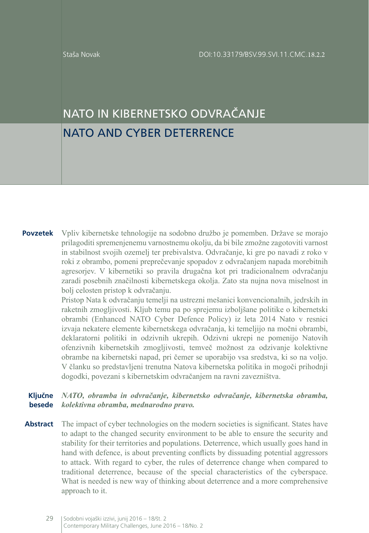# NATO IN KIBERNETSKO ODVRAČANJE NATO AND CYBER DETERRENCE

**Povzetek** Vpliv kibernetske tehnologije na sodobno družbo je pomemben. Države se morajo prilagoditi spremenjenemu varnostnemu okolju, da bi bile zmožne zagotoviti varnost in stabilnost svojih ozemelj ter prebivalstva. Odvračanje, ki gre po navadi z roko v roki z obrambo, pomeni preprečevanje spopadov z odvračanjem napada morebitnih agresorjev. V kibernetiki so pravila drugačna kot pri tradicionalnem odvračanju zaradi posebnih značilnosti kibernetskega okolja. Zato sta nujna nova miselnost in bolj celosten pristop k odvračanju.

> Pristop Nata k odvračanju temelji na ustrezni mešanici konvencionalnih, jedrskih in raketnih zmogljivosti. Kljub temu pa po sprejemu izboljšane politike o kibernetski obrambi (Enhanced NATO Cyber Defence Policy) iz leta 2014 Nato v resnici izvaja nekatere elemente kibernetskega odvračanja, ki temeljijo na močni obrambi, deklaratorni politiki in odzivnih ukrepih. Odzivni ukrepi ne pomenijo Natovih ofenzivnih kibernetskih zmogljivosti, temveč možnost za odzivanje kolektivne obrambe na kibernetski napad, pri čemer se uporabijo vsa sredstva, ki so na voljo. V članku so predstavljeni trenutna Natova kibernetska politika in mogoči prihodnji dogodki, povezani s kibernetskim odvračanjem na ravni zavezništva.

#### **Ključne besede** *NATO, obramba in odvračanje, kibernetsko odvračanje, kibernetska obramba, kolektivna obramba, mednarodno pravo.*

**Abstract** The impact of cyber technologies on the modern societies is significant. States have to adapt to the changed security environment to be able to ensure the security and stability for their territories and populations. Deterrence, which usually goes hand in hand with defence, is about preventing conflicts by dissuading potential aggressors to attack. With regard to cyber, the rules of deterrence change when compared to traditional deterrence, because of the special characteristics of the cyberspace. What is needed is new way of thinking about deterrence and a more comprehensive approach to it.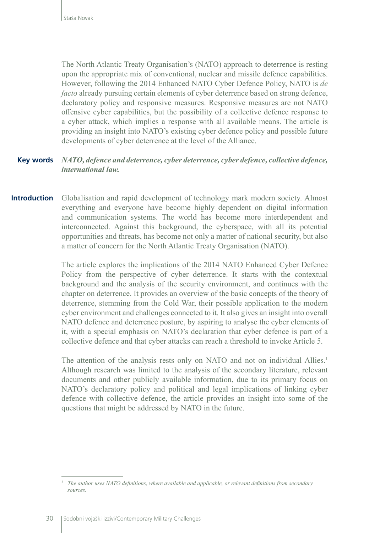The North Atlantic Treaty Organisation's (NATO) approach to deterrence is resting upon the appropriate mix of conventional, nuclear and missile defence capabilities. However, following the 2014 Enhanced NATO Cyber Defence Policy, NATO is *de facto* already pursuing certain elements of cyber deterrence based on strong defence, declaratory policy and responsive measures. Responsive measures are not NATO offensive cyber capabilities, but the possibility of a collective defence response to a cyber attack, which implies a response with all available means. The article is providing an insight into NATO's existing cyber defence policy and possible future developments of cyber deterrence at the level of the Alliance.

#### **Key words** *NATO, defence and deterrence, cyber deterrence, cyber defence, collective defence, international law.*

**Introduction** Globalisation and rapid development of technology mark modern society. Almost everything and everyone have become highly dependent on digital information and communication systems. The world has become more interdependent and interconnected. Against this background, the cyberspace, with all its potential opportunities and threats, has become not only a matter of national security, but also a matter of concern for the North Atlantic Treaty Organisation (NATO).

> The article explores the implications of the 2014 NATO Enhanced Cyber Defence Policy from the perspective of cyber deterrence. It starts with the contextual background and the analysis of the security environment, and continues with the chapter on deterrence. It provides an overview of the basic concepts of the theory of deterrence, stemming from the Cold War, their possible application to the modern cyber environment and challenges connected to it. It also gives an insight into overall NATO defence and deterrence posture, by aspiring to analyse the cyber elements of it, with a special emphasis on NATO's declaration that cyber defence is part of a collective defence and that cyber attacks can reach a threshold to invoke Article 5.

> The attention of the analysis rests only on NATO and not on individual Allies.<sup>1</sup> Although research was limited to the analysis of the secondary literature, relevant documents and other publicly available information, due to its primary focus on NATO's declaratory policy and political and legal implications of linking cyber defence with collective defence, the article provides an insight into some of the questions that might be addressed by NATO in the future.

*<sup>1</sup> The author uses NATO definitions, where available and applicable, or relevant definitions from secondary sources.*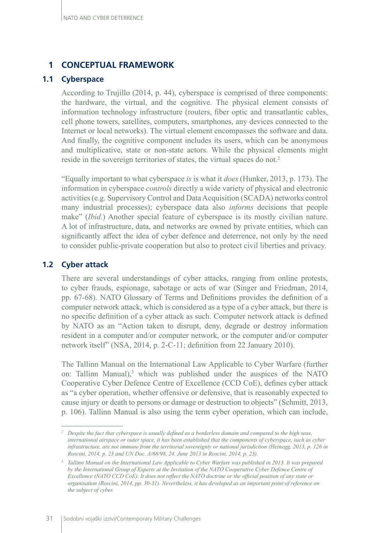# **1 CONCEPTUAL FRAMEWORK**

# **1.1 Cyberspace**

According to Trujillo (2014, p. 44), cyberspace is comprised of three components: the hardware, the virtual, and the cognitive. The physical element consists of information technology infrastructure (routers, fiber optic and transatlantic cables, cell phone towers, satellites, computers, smartphones, any devices connected to the Internet or local networks). The virtual element encompasses the software and data. And finally, the cognitive component includes its users, which can be anonymous and multiplicative, state or non-state actors. While the physical elements might reside in the sovereign territories of states, the virtual spaces do not.<sup>2</sup>

"Equally important to what cyberspace *is* is what it *does* (Hunker, 2013, p. 173). The information in cyberspace *controls* directly a wide variety of physical and electronic activities (e.g. Supervisory Control and Data Acquisition (SCADA) networks control many industrial processes); cyberspace data also *informs* decisions that people make" (*Ibid.*) Another special feature of cyberspace is its mostly civilian nature. A lot of infrastructure, data, and networks are owned by private entities, which can significantly affect the idea of cyber defence and deterrence, not only by the need to consider public-private cooperation but also to protect civil liberties and privacy.

# **1.2 Cyber attack**

There are several understandings of cyber attacks, ranging from online protests, to cyber frauds, espionage, sabotage or acts of war (Singer and Friedman, 2014, pp. 67-68). NATO Glossary of Terms and Definitions provides the definition of a computer network attack, which is considered as a type of a cyber attack, but there is no specific definition of a cyber attack as such. Computer network attack is defined by NATO as an "Action taken to disrupt, deny, degrade or destroy information resident in a computer and/or computer network, or the computer and/or computer network itself" (NSA, 2014, p. 2-C-11; definition from 22 January 2010).

The Tallinn Manual on the International Law Applicable to Cyber Warfare (further on: Tallinn Manual),<sup>3</sup> which was published under the auspices of the NATO Cooperative Cyber Defence Centre of Excellence (CCD CoE), defines cyber attack as "a cyber operation, whether offensive or defensive, that is reasonably expected to cause injury or death to persons or damage or destruction to objects" (Schmitt, 2013, p. 106). Tallinn Manual is also using the term cyber operation, which can include,

*<sup>2</sup> Despite the fact that cyberspace is usually defined as a borderless domain and compared to the high seas, international airspace or outer space, it has been established that the components of cyberspace, such as cyber infrastructure, are not immune from the territorial sovereignty or national jurisdiction (Heinegg, 2013, p. 126 in Roscini, 2014, p. 23 and UN Doc. A/68/98, 24. June 2013 in Roscini, 2014, p. 23).* 

<sup>&</sup>lt;sup>3</sup> *Tallinn Manual on the International Law Applicable to Cyber Warfare was published in 2013. It was prepared by the International Group of Experts at the Invitation of the NATO Cooperative Cyber Defence Centre of Excellence (NATO CCD CoE). It does not reflect the NATO doctrine or the official position of any state or organisation (Roscini, 2014, pp. 30-31). Nevertheless, it has developed as an important point of reference on the subject of cyber.*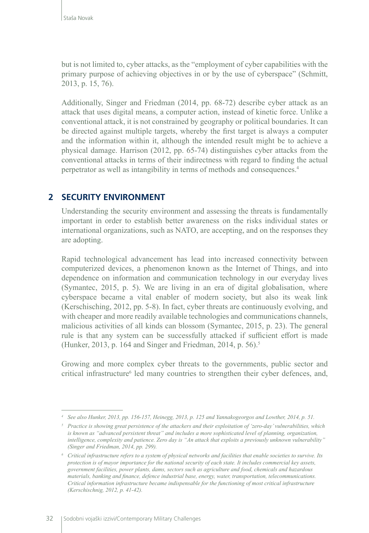but is not limited to, cyber attacks, as the "employment of cyber capabilities with the primary purpose of achieving objectives in or by the use of cyberspace" (Schmitt, 2013, p. 15, 76).

Additionally, Singer and Friedman (2014, pp. 68-72) describe cyber attack as an attack that uses digital means, a computer action, instead of kinetic force. Unlike a conventional attack, it is not constrained by geography or political boundaries. It can be directed against multiple targets, whereby the first target is always a computer and the information within it, although the intended result might be to achieve a physical damage. Harrison (2012, pp. 65-74) distinguishes cyber attacks from the conventional attacks in terms of their indirectness with regard to finding the actual perpetrator as well as intangibility in terms of methods and consequences.4

# **2 SECURITY ENVIRONMENT**

Understanding the security environment and assessing the threats is fundamentally important in order to establish better awareness on the risks individual states or international organizations, such as NATO, are accepting, and on the responses they are adopting.

Rapid technological advancement has lead into increased connectivity between computerized devices, a phenomenon known as the Internet of Things, and into dependence on information and communication technology in our everyday lives (Symantec, 2015, p. 5). We are living in an era of digital globalisation, where cyberspace became a vital enabler of modern society, but also its weak link (Kerschisching, 2012, pp. 5-8). In fact, cyber threats are continuously evolving, and with cheaper and more readily available technologies and communications channels, malicious activities of all kinds can blossom (Symantec, 2015, p. 23). The general rule is that any system can be successfully attacked if sufficient effort is made (Hunker, 2013, p. 164 and Singer and Friedman, 2014, p. 56).5

Growing and more complex cyber threats to the governments, public sector and critical infrastructure<sup>6</sup> led many countries to strengthen their cyber defences, and,

*<sup>4</sup> See also Hunker, 2013, pp. 156-157, Heinegg, 2013, p. 125 and Yannakogeorgos and Lowther, 2014, p. 51.*

*<sup>5</sup> Practice is showing great persistence of the attackers and their exploitation of 'zero-day' vulnerabilities, which is known as "advanced persistent threat" and includes a more sophisticated level of planning, organization, intelligence, complexity and patience. Zero day is "An attack that exploits a previously unknown vulnerability" (Singer and Friedman, 2014, pp. 299).* 

*<sup>6</sup> Critical infrastructure refers to a system of physical networks and facilities that enable societies to survive. Its protection is of mayor importance for the national security of each state. It includes commercial key assets, government facilities, power plants, dams, sectors such as agriculture and food, chemicals and hazardous materials, banking and finance, defence industrial base, energy, water, transportation, telecommunications. Critical information infrastructure became indispensable for the functioning of most critical infrastructure (Kerschischnig, 2012, p. 41-42).*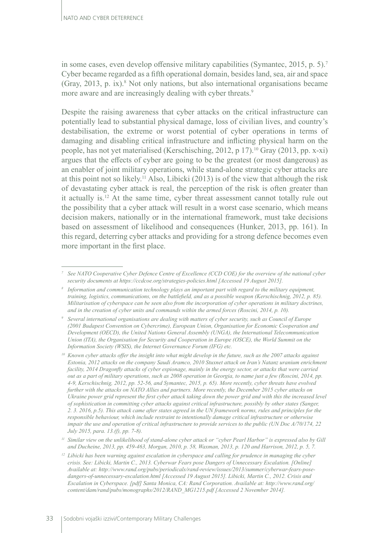in some cases, even develop offensive military capabilities (Symantec, 2015, p. 5).7 Cyber became regarded as a fifth operational domain, besides land, sea, air and space (Gray, 2013, p. ix).8 Not only nations, but also international organisations became more aware and are increasingly dealing with cyber threats.<sup>9</sup>

Despite the raising awareness that cyber attacks on the critical infrastructure can potentially lead to substantial physical damage, loss of civilian lives, and country's destabilisation, the extreme or worst potential of cyber operations in terms of damaging and disabling critical infrastructure and inflicting physical harm on the people, has not yet materialised (Kerschisching, 2012, p 17).10 Gray (2013, pp. x-xi) argues that the effects of cyber are going to be the greatest (or most dangerous) as an enabler of joint military operations, while stand-alone strategic cyber attacks are at this point not so likely.<sup>11</sup> Also, Libicki (2013) is of the view that although the risk of devastating cyber attack is real, the perception of the risk is often greater than it actually is.12 At the same time, cyber threat assessment cannot totally rule out the possibility that a cyber attack will result in a worst case scenario, which means decision makers, nationally or in the international framework, must take decisions based on assessment of likelihood and consequences (Hunker, 2013, pp. 161). In this regard, deterring cyber attacks and providing for a strong defence becomes even more important in the first place.

*<sup>7</sup> See NATO Cooperative Cyber Defence Centre of Excellence (CCD COE) for the overview of the national cyber security documents at https://ccdcoe.org/strategies-policies.html [Accessed 19 August 2015].* 

*<sup>8</sup> Information and communication technology plays an important part with regard to the military equipment, training, logistics, communications, on the battlefield, and as a possible weapon (Kerschischnig, 2012, p. 85). Militarisation of cyberspace can be seen also from the incorporation of cyber operations in military doctrines, and in the creation of cyber units and commands within the armed forces (Roscini, 2014, p. 10).*

*<sup>9</sup> Several international organisations are dealing with matters of cyber security, such as Council of Europe (2001 Budapest Convention on Cybercrime), European Union, Organisation for Economic Cooperation and Development (OECD), the United Nations General Assembly (UNGA), the International Telecommunication Union (ITA), the Organisation for Security and Cooperation in Europe (OSCE), the World Summit on the Information Society (WSIS), the Internet Governance Forum (IFG) etc.*

*<sup>10</sup> Known cyber attacks offer the insight into what might develop in the future, such as the 2007 attacks against Estonia, 2012 attacks on the company Saudi Aramco, 2010 Stuxnet attack on Iran's Natanz uranium enrichment facility, 2014 Dragonfly attacks of cyber espionage, mainly in the energy sector, or attacks that were carried out as a part of military operations, such as 2008 operation in Georgia, to name just a few (Roscini, 2014, pp. 4-9, Kerschischnig, 2012, pp. 52-56, and Symantec, 2015, p. 65). More recently, cyber threats have evolved further with the attacks on NATO Allies and partners. More recently, the December 2015 cyber attacks on*  Ukraine power grid represent the first cyber attack taking down the power grid and with this the increased level *of sophistication in committing cyber attacks against critical infrastructure, possibly by other states (Sanger, 2. 3. 2016, p.5). This attack came after states agreed in the UN framework norms, rules and principles for the responsible behaviour, which include restraint to intentionally damage critical infrastructure or otherwise impair the use and operation of critical infrastructure to provide services to the public (UN Doc A/70/174, 22 July 2015, para. 13.(f), pp. 7-8).*

*<sup>11</sup> Similar view on the unlikelihood of stand-alone cyber attack or "cyber Pearl Harbor" is expressed also by Gill and Ducheine, 2013, pp. 459-463, Morgan, 2010, p. 58, Waxman, 2013, p. 120 and Harrison, 2012, p. 5, 7.*

*<sup>12</sup> Libicki has been warning against escalation in cyberspace and calling for prudence in managing the cyber crisis. See: Libicki, Martin C., 2013. Cyberwar Fears pose Dangers of Unnecessary Escalation. [Online] Available at: http://www.rand.org/pubs/periodicals/rand-review/issues/2013/summer/cyberwar-fears-posedangers-of-unnecessary-escalation.html [Accessed 19 August 2015]. Libicki, Martin C., 2012. Crisis and Escalation in Cyberspace. [pdf] Santa Monica, CA: Rand Corporation. Available at: [http://www.rand.org/](http://www.rand.org/content/dam/rand/pubs/monographs/2012/RAND_MG1215.pdf) [content/dam/rand/pubs/monographs/2012/RAND\\_MG1215.pdf](http://www.rand.org/content/dam/rand/pubs/monographs/2012/RAND_MG1215.pdf) [Accessed 2 November 2014].*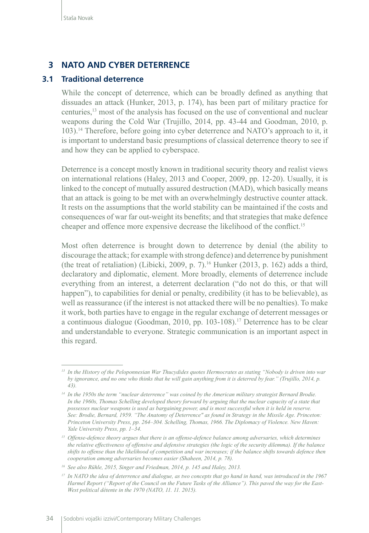# **3 NATO AND CYBER DETERRENCE**

## **3.1 Traditional deterrence**

While the concept of deterrence, which can be broadly defined as anything that dissuades an attack (Hunker, 2013, p. 174), has been part of military practice for centuries,13 most of the analysis has focused on the use of conventional and nuclear weapons during the Cold War (Trujillo, 2014, pp. 43-44 and Goodman, 2010, p. 103).14 Therefore, before going into cyber deterrence and NATO's approach to it, it is important to understand basic presumptions of classical deterrence theory to see if and how they can be applied to cyberspace.

Deterrence is a concept mostly known in traditional security theory and realist views on international relations (Haley, 2013 and Cooper, 2009, pp. 12-20). Usually, it is linked to the concept of mutually assured destruction (MAD), which basically means that an attack is going to be met with an overwhelmingly destructive counter attack. It rests on the assumptions that the world stability can be maintained if the costs and consequences of war far out-weight its benefits; and that strategies that make defence cheaper and offence more expensive decrease the likelihood of the conflict.15

Most often deterrence is brought down to deterrence by denial (the ability to discourage the attack; for example with strong defence) and deterrence by punishment (the treat of retaliation) (Libicki, 2009, p. 7).<sup>16</sup> Hunker (2013, p. 162) adds a third, declaratory and diplomatic, element. More broadly, elements of deterrence include everything from an interest, a deterrent declaration ("do not do this, or that will happen"), to capabilities for denial or penalty, credibility (it has to be believable), as well as reassurance (if the interest is not attacked there will be no penalties). To make it work, both parties have to engage in the regular exchange of deterrent messages or a continuous dialogue (Goodman, 2010, pp. 103-108).17 Deterrence has to be clear and understandable to everyone. Strategic communication is an important aspect in this regard.

<sup>&</sup>lt;sup>13</sup> In the History of the Peloponnesian War Thucydides quotes Hermocrates as stating "Nobody is driven into war *by ignorance, and no one who thinks that he will gain anything from it is deterred by fear." (Trujillo, 2014, p. 43).*

*<sup>14</sup> In the 1950s the term "nuclear deterrence" was coined by the American military strategist Bernard Brodie.*  In the 1960s, Thomas Schelling developed theory forward by arguing that the nuclear capacity of a state that *possesses nuclear weapons is used as bargaining power, and is most successful when it is held in reserve. See: Brodie, Bernard, 1959. "The Anatomy of Deterrence" as found in Strategy in the Missile Age. Princeton: Princeton University Press, pp. 264–304. Schelling, Thomas, 1966. The Diplomacy of Violence. New Haven: Yale University Press, pp. 1–34.*

*<sup>15</sup> Offense-defence theory argues that there is an offense-defence balance among adversaries, which determines the relative effectiveness of offensive and defensive strategies (the logic of the security dilemma). If the balance shifts to offense than the likelihood of competition and war increases; if the balance shifts towards defence then cooperation among adversaries becomes easier (Shaheen, 2014, p. 78).*

*<sup>16</sup> See also Rühle, 2015, Singer and Friedman, 2014, p. 145 and Haley, 2013.* 

*<sup>17</sup> In NATO the idea of deterrence and dialogue, as two concepts that go hand in hand, was introduced in the 1967 Harmel Report ("Report of the Council on the Future Tasks of the Alliance"). This paved the way for the East-West political détente in the 1970 (NATO, 11. 11. 2015).*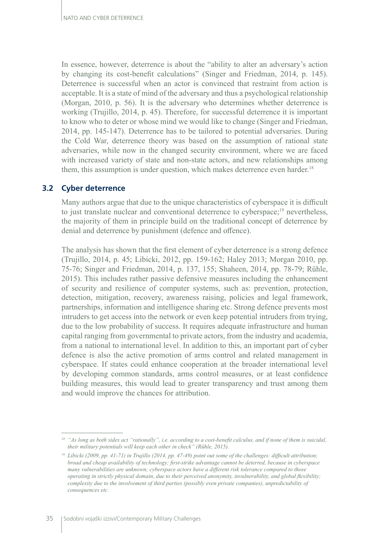In essence, however, deterrence is about the "ability to alter an adversary's action by changing its cost-benefit calculations" (Singer and Friedman, 2014, p. 145). Deterrence is successful when an actor is convinced that restraint from action is acceptable. It is a state of mind of the adversary and thus a psychological relationship (Morgan, 2010, p. 56). It is the adversary who determines whether deterrence is working (Trujillo, 2014, p. 45). Therefore, for successful deterrence it is important to know who to deter or whose mind we would like to change (Singer and Friedman, 2014, pp. 145-147). Deterrence has to be tailored to potential adversaries. During the Cold War, deterrence theory was based on the assumption of rational state adversaries, while now in the changed security environment, where we are faced with increased variety of state and non-state actors, and new relationships among them, this assumption is under question, which makes deterrence even harder.<sup>18</sup>

# **3.2 Cyber deterrence**

Many authors argue that due to the unique characteristics of cyberspace it is difficult to just translate nuclear and conventional deterrence to cyberspace;<sup>19</sup> nevertheless, the majority of them in principle build on the traditional concept of deterrence by denial and deterrence by punishment (defence and offence).

The analysis has shown that the first element of cyber deterrence is a strong defence (Trujillo, 2014, p. 45; Libicki, 2012, pp. 159-162; Haley 2013; Morgan 2010, pp. 75-76; Singer and Friedman, 2014, p. 137, 155; Shaheen, 2014, pp. 78-79; Rühle, 2015). This includes rather passive defensive measures including the enhancement of security and resilience of computer systems, such as: prevention, protection, detection, mitigation, recovery, awareness raising, policies and legal framework, partnerships, information and intelligence sharing etc. Strong defence prevents most intruders to get access into the network or even keep potential intruders from trying, due to the low probability of success. It requires adequate infrastructure and human capital ranging from governmental to private actors, from the industry and academia, from a national to international level. In addition to this, an important part of cyber defence is also the active promotion of arms control and related management in cyberspace. If states could enhance cooperation at the broader international level by developing common standards, arms control measures, or at least confidence building measures, this would lead to greater transparency and trust among them and would improve the chances for attribution.

*<sup>18</sup> "As long as both sides act "rationally", i.e. according to a cost-benefit calculus, and if none of them is suicidal, their military potentials will keep each other in check" (Rühle, 2015).*

*<sup>19</sup> Libicki (2009, pp. 41-71) in Trujillo (2014, pp. 47-49) point out some of the challenges: difficult attribution; broad and cheap availability of technology; first-strike advantage cannot be deterred, because in cyberspace many vulnerabilities are unknown; cyberspace actors have a different risk tolerance compared to those operating in strictly physical domain, due to their perceived anonymity, invulnerability, and global flexibility; complexity due to the involvement of third parties (possibly even private companies), unpredictability of consequences etc.*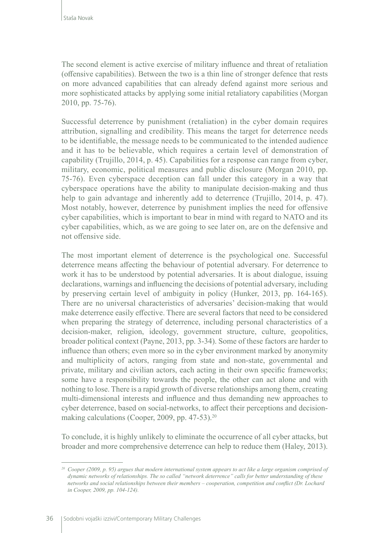The second element is active exercise of military influence and threat of retaliation (offensive capabilities). Between the two is a thin line of stronger defence that rests on more advanced capabilities that can already defend against more serious and more sophisticated attacks by applying some initial retaliatory capabilities (Morgan 2010, pp. 75-76).

Successful deterrence by punishment (retaliation) in the cyber domain requires attribution, signalling and credibility. This means the target for deterrence needs to be identifiable, the message needs to be communicated to the intended audience and it has to be believable, which requires a certain level of demonstration of capability (Trujillo, 2014, p. 45). Capabilities for a response can range from cyber, military, economic, political measures and public disclosure (Morgan 2010, pp. 75-76). Even cyberspace deception can fall under this category in a way that cyberspace operations have the ability to manipulate decision-making and thus help to gain advantage and inherently add to deterrence (Trujillo, 2014, p. 47). Most notably, however, deterrence by punishment implies the need for offensive cyber capabilities, which is important to bear in mind with regard to NATO and its cyber capabilities, which, as we are going to see later on, are on the defensive and not offensive side.

The most important element of deterrence is the psychological one. Successful deterrence means affecting the behaviour of potential adversary. For deterrence to work it has to be understood by potential adversaries. It is about dialogue, issuing declarations, warnings and influencing the decisions of potential adversary, including by preserving certain level of ambiguity in policy (Hunker, 2013, pp. 164-165). There are no universal characteristics of adversaries' decision-making that would make deterrence easily effective. There are several factors that need to be considered when preparing the strategy of deterrence, including personal characteristics of a decision-maker, religion, ideology, government structure, culture, geopolitics, broader political context (Payne, 2013, pp. 3-34). Some of these factors are harder to influence than others; even more so in the cyber environment marked by anonymity and multiplicity of actors, ranging from state and non-state, governmental and private, military and civilian actors, each acting in their own specific frameworks; some have a responsibility towards the people, the other can act alone and with nothing to lose. There is a rapid growth of diverse relationships among them, creating multi-dimensional interests and influence and thus demanding new approaches to cyber deterrence, based on social-networks, to affect their perceptions and decisionmaking calculations (Cooper, 2009, pp. 47-53).<sup>20</sup>

To conclude, it is highly unlikely to eliminate the occurrence of all cyber attacks, but broader and more comprehensive deterrence can help to reduce them (Haley, 2013).

*<sup>20</sup> Cooper (2009, p. 95) argues that modern international system appears to act like a large organism comprised of dynamic networks of relationships. The so called "network deterrence" calls for better understanding of these networks and social relationships between their members – cooperation, competition and conflict (Dr. Lochard in Cooper, 2009, pp. 104-124).*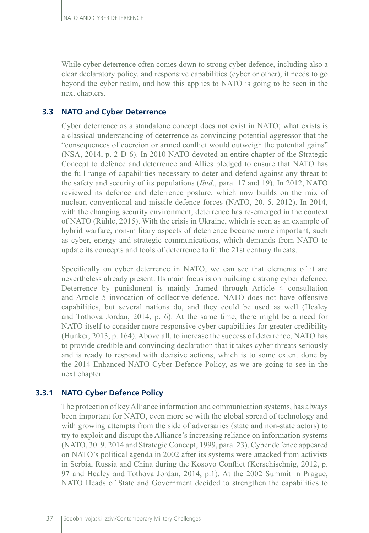While cyber deterrence often comes down to strong cyber defence, including also a clear declaratory policy, and responsive capabilities (cyber or other), it needs to go beyond the cyber realm, and how this applies to NATO is going to be seen in the next chapters.

# **3.3 NATO and Cyber Deterrence**

Cyber deterrence as a standalone concept does not exist in NATO; what exists is a classical understanding of deterrence as convincing potential aggressor that the "consequences of coercion or armed conflict would outweigh the potential gains" (NSA, 2014, p. 2-D-6). In 2010 NATO devoted an entire chapter of the Strategic Concept to defence and deterrence and Allies pledged to ensure that NATO has the full range of capabilities necessary to deter and defend against any threat to the safety and security of its populations (*Ibid*., para. 17 and 19). In 2012, NATO reviewed its defence and deterrence posture, which now builds on the mix of nuclear, conventional and missile defence forces (NATO, 20. 5. 2012). In 2014, with the changing security environment, deterrence has re-emerged in the context of NATO (Rühle, 2015). With the crisis in Ukraine, which is seen as an example of hybrid warfare, non-military aspects of deterrence became more important, such as cyber, energy and strategic communications, which demands from NATO to update its concepts and tools of deterrence to fit the 21st century threats.

Specifically on cyber deterrence in NATO, we can see that elements of it are nevertheless already present. Its main focus is on building a strong cyber defence. Deterrence by punishment is mainly framed through Article 4 consultation and Article 5 invocation of collective defence. NATO does not have offensive capabilities, but several nations do, and they could be used as well (Healey and Tothova Jordan, 2014, p. 6). At the same time, there might be a need for NATO itself to consider more responsive cyber capabilities for greater credibility (Hunker, 2013, p. 164). Above all, to increase the success of deterrence, NATO has to provide credible and convincing declaration that it takes cyber threats seriously and is ready to respond with decisive actions, which is to some extent done by the 2014 Enhanced NATO Cyber Defence Policy, as we are going to see in the next chapter.

# **3.3.1 NATO Cyber Defence Policy**

The protection of key Alliance information and communication systems, has always been important for NATO, even more so with the global spread of technology and with growing attempts from the side of adversaries (state and non-state actors) to try to exploit and disrupt the Alliance's increasing reliance on information systems (NATO, 30. 9. 2014 and Strategic Concept, 1999, para. 23). Cyber defence appeared on NATO's political agenda in 2002 after its systems were attacked from activists in Serbia, Russia and China during the Kosovo Conflict (Kerschischnig, 2012, p. 97 and Healey and Tothova Jordan, 2014, p.1). At the 2002 Summit in Prague, NATO Heads of State and Government decided to strengthen the capabilities to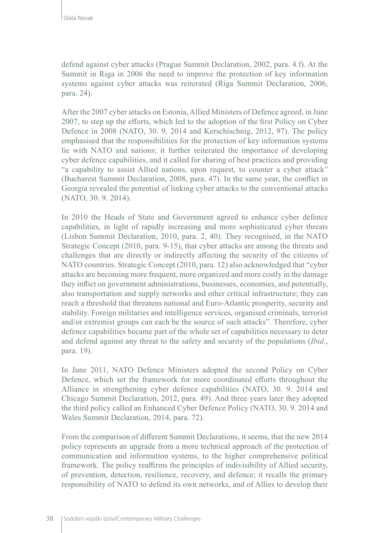defend against cyber attacks (Prague Summit Declaration, 2002, para. 4.f). At the Summit in Riga in 2006 the need to improve the protection of key information systems against cyber attacks was reiterated (Riga Summit Declaration, 2006, para. 24).

After the 2007 cyber attacks on Estonia, Allied Ministers of Defence agreed, in June 2007, to step up the efforts, which led to the adoption of the first Policy on Cyber Defence in 2008 (NATO, 30. 9. 2014 and Kerschischnig, 2012, 97). The policy emphasised that the responsibilities for the protection of key information systems lie with NATO and nations; it further reiterated the importance of developing cyber defence capabilities, and it called for sharing of best practices and providing "a capability to assist Allied nations, upon request, to counter a cyber attack" (Bucharest Summit Declaration, 2008, para. 47). In the same year, the conflict in Georgia revealed the potential of linking cyber attacks to the conventional attacks (NATO, 30. 9. 2014).

In 2010 the Heads of State and Government agreed to enhance cyber defence capabilities, in light of rapidly increasing and more sophisticated cyber threats (Lisbon Summit Declaration, 2010, para. 2, 40). They recognised, in the NATO Strategic Concept (2010, para. 9-15), that cyber attacks are among the threats and challenges that are directly or indirectly affecting the security of the citizens of NATO countries. Strategic Concept (2010, para. 12) also acknowledged that "cyber attacks are becoming more frequent, more organized and more costly in the damage they inflict on government administrations, businesses, economies, and potentially, also transportation and supply networks and other critical infrastructure; they can reach a threshold that threatens national and Euro-Atlantic prosperity, security and stability. Foreign militaries and intelligence services, organised criminals, terrorist and/or extremist groups can each be the source of such attacks". Therefore, cyber defence capabilities became part of the whole set of capabilities necessary to deter and defend against any threat to the safety and security of the populations (*Ibid*., para. 19).

In June 2011, NATO Defence Ministers adopted the second Policy on Cyber Defence, which set the framework for more coordinated efforts throughout the Alliance in strengthening cyber defence capabilities (NATO, 30. 9. 2014 and Chicago Summit Declaration, 2012, para. 49). And three years later they adopted the third policy called an Enhanced Cyber Defence Policy (NATO, 30. 9. 2014 and Wales Summit Declaration, 2014, para. 72).

From the comparison of different Summit Declarations, it seems, that the new 2014 policy represents an upgrade from a more technical approach of the protection of communication and information systems, to the higher comprehensive political framework. The policy reaffirms the principles of indivisibility of Allied security, of prevention, detection, resilience, recovery, and defence; it recalls the primary responsibility of NATO to defend its own networks, and of Allies to develop their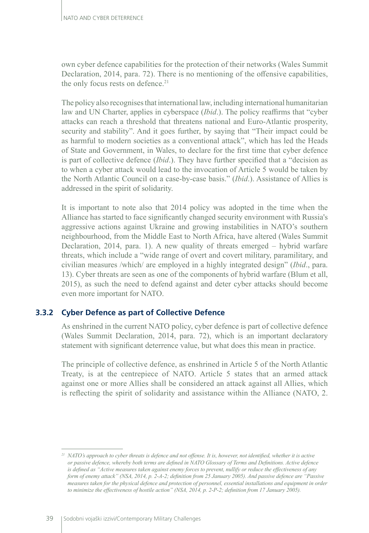own cyber defence capabilities for the protection of their networks (Wales Summit Declaration, 2014, para. 72). There is no mentioning of the offensive capabilities, the only focus rests on defence.<sup>21</sup>

The policy also recognises that international law, including international humanitarian law and UN Charter, applies in cyberspace (*Ibid*.). The policy reaffirms that "cyber attacks can reach a threshold that threatens national and Euro-Atlantic prosperity, security and stability". And it goes further, by saying that "Their impact could be as harmful to modern societies as a conventional attack", which has led the Heads of State and Government, in Wales, to declare for the first time that cyber defence is part of collective defence (*Ibid*.). They have further specified that a "decision as to when a cyber attack would lead to the invocation of Article 5 would be taken by the North Atlantic Council on a case-by-case basis." (*Ibid*.). Assistance of Allies is addressed in the spirit of solidarity.

It is important to note also that 2014 policy was adopted in the time when the Alliance has started to face significantly changed security environment with Russia's aggressive actions against Ukraine and growing instabilities in NATO's southern neighbourhood, from the Middle East to North Africa, have altered (Wales Summit Declaration, 2014, para. 1). A new quality of threats emerged – hybrid warfare threats, which include a "wide range of overt and covert military, paramilitary, and civilian measures /which/ are employed in a highly integrated design" (*Ibid*., para. 13). Cyber threats are seen as one of the components of hybrid warfare (Blum et all, 2015), as such the need to defend against and deter cyber attacks should become even more important for NATO.

# **3.3.2 Cyber Defence as part of Collective Defence**

As enshrined in the current NATO policy, cyber defence is part of collective defence (Wales Summit Declaration, 2014, para. 72), which is an important declaratory statement with significant deterrence value, but what does this mean in practice.

The principle of collective defence, as enshrined in Article 5 of the North Atlantic Treaty, is at the centrepiece of NATO. Article 5 states that an armed attack against one or more Allies shall be considered an attack against all Allies, which is reflecting the spirit of solidarity and assistance within the Alliance (NATO, 2.

*<sup>21</sup> NATO's approach to cyber threats is defence and not offense. It is, however, not identified, whether it is active or passive defence, whereby both terms are defined in NATO Glossary of Terms and Definitions. Active defence is defined as "Active measures taken against enemy forces to prevent, nullify or reduce the effectiveness of any form of enemy attack" (NSA, 2014, p. 2-A-2; definition from 25 January 2005). And passive defence are "Passive measures taken for the physical defence and protection of personnel, essential installations and equipment in order to minimize the effectiveness of hostile action" (NSA, 2014, p. 2-P-2; definition from 17 January 2005).*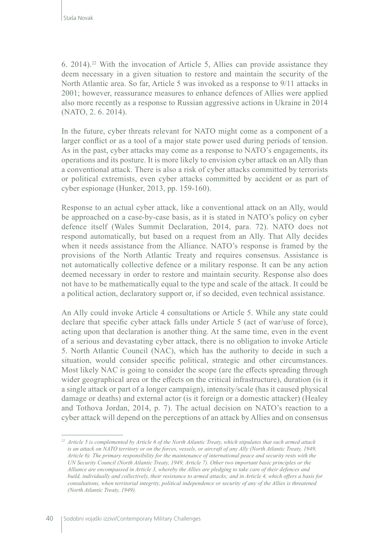6. 2014).22 With the invocation of Article 5, Allies can provide assistance they deem necessary in a given situation to restore and maintain the security of the North Atlantic area. So far, Article 5 was invoked as a response to 9/11 attacks in 2001; however, reassurance measures to enhance defences of Allies were applied also more recently as a response to Russian aggressive actions in Ukraine in 2014 (NATO, 2. 6. 2014).

In the future, cyber threats relevant for NATO might come as a component of a larger conflict or as a tool of a major state power used during periods of tension. As in the past, cyber attacks may come as a response to NATO's engagements, its operations and its posture. It is more likely to envision cyber attack on an Ally than a conventional attack. There is also a risk of cyber attacks committed by terrorists or political extremists, even cyber attacks committed by accident or as part of cyber espionage (Hunker, 2013, pp. 159-160).

Response to an actual cyber attack, like a conventional attack on an Ally, would be approached on a case-by-case basis, as it is stated in NATO's policy on cyber defence itself (Wales Summit Declaration, 2014, para. 72). NATO does not respond automatically, but based on a request from an Ally. That Ally decides when it needs assistance from the Alliance. NATO's response is framed by the provisions of the North Atlantic Treaty and requires consensus. Assistance is not automatically collective defence or a military response. It can be any action deemed necessary in order to restore and maintain security. Response also does not have to be mathematically equal to the type and scale of the attack. It could be a political action, declaratory support or, if so decided, even technical assistance.

An Ally could invoke Article 4 consultations or Article 5. While any state could declare that specific cyber attack falls under Article 5 (act of war/use of force), acting upon that declaration is another thing. At the same time, even in the event of a serious and devastating cyber attack, there is no obligation to invoke Article 5. North Atlantic Council (NAC), which has the authority to decide in such a situation, would consider specific political, strategic and other circumstances. Most likely NAC is going to consider the scope (are the effects spreading through wider geographical area or the effects on the critical infrastructure), duration (is it a single attack or part of a longer campaign), intensity/scale (has it caused physical damage or deaths) and external actor (is it foreign or a domestic attacker) (Healey and Tothova Jordan, 2014, p. 7). The actual decision on NATO's reaction to a cyber attack will depend on the perceptions of an attack by Allies and on consensus

*<sup>22</sup> Article 5 is complemented by Article 6 of the North Atlantic Treaty, which stipulates that such armed attack is an attack on NATO territory or on the forces, vessels, or aircraft of any Ally (North Atlantic Treaty, 1949, Article 6). The primary responsibility for the maintenance of international peace and security rests with the UN Security Council (North Atlantic Treaty, 1949, Article 7). Other two important basic principles or the Alliance are encompassed in Article 3, whereby the Allies are pledging to take care of their defences and build, individually and collectively, their resistance to armed attacks; and in Article 4, which offers a basis for consultations, when territorial integrity, political independence or security of any of the Allies is threatened (North Atlantic Treaty, 1949).*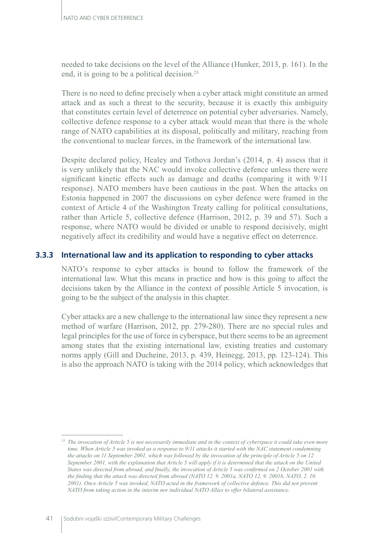needed to take decisions on the level of the Alliance (Hunker, 2013, p. 161). In the end, it is going to be a political decision.<sup>23</sup>

There is no need to define precisely when a cyber attack might constitute an armed attack and as such a threat to the security, because it is exactly this ambiguity that constitutes certain level of deterrence on potential cyber adversaries. Namely, collective defence response to a cyber attack would mean that there is the whole range of NATO capabilities at its disposal, politically and military, reaching from the conventional to nuclear forces, in the framework of the international law.

Despite declared policy, Healey and Tothova Jordan's (2014, p. 4) assess that it is very unlikely that the NAC would invoke collective defence unless there were significant kinetic effects such as damage and deaths (comparing it with 9/11 response). NATO members have been cautious in the past. When the attacks on Estonia happened in 2007 the discussions on cyber defence were framed in the context of Article 4 of the Washington Treaty calling for political consultations, rather than Article 5, collective defence (Harrison, 2012, p. 39 and 57). Such a response, where NATO would be divided or unable to respond decisively, might negatively affect its credibility and would have a negative effect on deterrence.

# **3.3.3 International law and its application to responding to cyber attacks**

NATO's response to cyber attacks is bound to follow the framework of the international law. What this means in practice and how is this going to affect the decisions taken by the Alliance in the context of possible Article 5 invocation, is going to be the subject of the analysis in this chapter.

Cyber attacks are a new challenge to the international law since they represent a new method of warfare (Harrison, 2012, pp. 279-280). There are no special rules and legal principles for the use of force in cyberspace, but there seems to be an agreement among states that the existing international law, existing treaties and customary norms apply (Gill and Ducheine, 2013, p. 439, Heinegg, 2013, pp. 123-124). This is also the approach NATO is taking with the 2014 policy, which acknowledges that

*<sup>23</sup> The invocation of Article 5 is not necessarily immediate and in the context of cyberspace it could take even more time. When Article 5 was invoked as a response to 9/11 attacks it started with the NAC statement condemning the attacks on 11 September 2001, which was followed by the invocation of the principle of Article 5 on 12 September 2001, with the explanation that Article 5 will apply if it is determined that the attack on the United States was directed from abroad, and finally, the invocation of Article 5 was confirmed on 2 October 2001 with the finding that the attack was directed from abroad (NATO 12. 9. 2001a, NATO 12. 9. 2001b, NATO, 2. 10. 2001). Once Article 5 was invoked, NATO acted in the framework of collective defence. This did not prevent NATO from taking action in the interim nor individual NATO Allies to offer bilateral assistance.*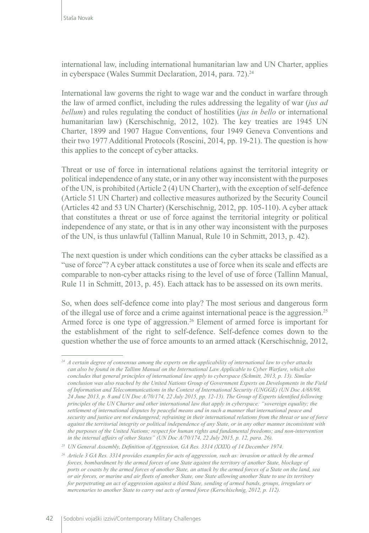international law, including international humanitarian law and UN Charter, applies in cyberspace (Wales Summit Declaration, 2014, para. 72).<sup>24</sup>

International law governs the right to wage war and the conduct in warfare through the law of armed conflict, including the rules addressing the legality of war (*jus ad bellum*) and rules regulating the conduct of hostilities (*jus in bello* or international humanitarian law) (Kerschischnig, 2012, 102). The key treaties are 1945 UN Charter, 1899 and 1907 Hague Conventions, four 1949 Geneva Conventions and their two 1977 Additional Protocols (Roscini, 2014, pp. 19-21). The question is how this applies to the concept of cyber attacks.

Threat or use of force in international relations against the territorial integrity or political independence of any state, or in any other way inconsistent with the purposes of the UN, is prohibited (Article 2 (4) UN Charter), with the exception of self-defence (Article 51 UN Charter) and collective measures authorized by the Security Council (Articles 42 and 53 UN Charter) (Kerschischnig, 2012, pp. 105-110). A cyber attack that constitutes a threat or use of force against the territorial integrity or political independence of any state, or that is in any other way inconsistent with the purposes of the UN, is thus unlawful (Tallinn Manual, Rule 10 in Schmitt, 2013, p. 42).

The next question is under which conditions can the cyber attacks be classified as a "use of force"? A cyber attack constitutes a use of force when its scale and effects are comparable to non-cyber attacks rising to the level of use of force (Tallinn Manual, Rule 11 in Schmitt, 2013, p. 45). Each attack has to be assessed on its own merits.

So, when does self-defence come into play? The most serious and dangerous form of the illegal use of force and a crime against international peace is the aggression.25 Armed force is one type of aggression.<sup>26</sup> Element of armed force is important for the establishment of the right to self-defence. Self-defence comes down to the question whether the use of force amounts to an armed attack (Kerschischnig, 2012,

*<sup>24</sup> A certain degree of consensus among the experts on the applicability of international law to cyber attacks can also be found in the Tallinn Manual on the International Law Applicable to Cyber Warfare, which also concludes that general principles of international law apply to cyberspace (Schmitt, 2013, p. 13). Similar conclusion was also reached by the United Nations Group of Government Experts on Developments in the Field of Information and Telecommunications in the Context of International Security (UNGGE) (UN Doc A/68/98, 24 June 2013, p. 8 and UN Doc A/70/174, 22 July 2015, pp. 12-13). The Group of Experts identified following principles of the UN Charter and other international law that apply in cyberspace: "sovereign equality; the settlement of international disputes by peaceful means and in such a manner that international peace and security and justice are not endangered; refraining in their international relations from the threat or use of force against the territorial integrity or political independence of any State, or in any other manner inconsistent with the purposes of the United Nations; respect for human rights and fundamental freedoms; and non-intervention in the internal affairs of other States" (UN Doc A/70/174, 22 July 2015, p. 12, para. 26).*

*<sup>25</sup> UN General Assembly, Definition of Aggression, GA Res. 3314 (XXIX) of 14 December 1974.*

*<sup>26</sup> Article 3 GA Res. 3314 provides examples for acts of aggression, such as: invasion or attack by the armed forces, bombardment by the armed forces of one State against the territory of another State, blockage of ports or coasts by the armed forces of another State, an attack by the armed forces of a State on the land, sea or air forces, or marine and air fleets of another State, one State allowing another State to use its territory for perpetrating an act of aggression against a third State, sending of armed bands, groups, irregulars or mercenaries to another State to carry out acts of armed force (Kerschischnig, 2012, p. 112).*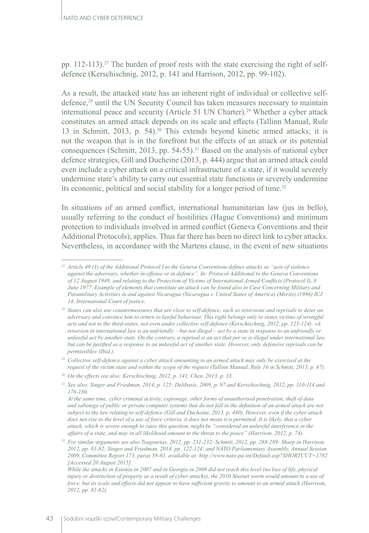pp. 112-113).27 The burden of proof rests with the state exercising the right of selfdefence (Kerschischnig, 2012, p. 141 and Harrison, 2012, pp. 99-102).

As a result, the attacked state has an inherent right of individual or collective selfdefence,<sup>28</sup> until the UN Security Council has taken measures necessary to maintain international peace and security (Article 51 UN Charter).29 Whether a cyber attack constitutes an armed attack depends on its scale and effects (Tallinn Manual, Rule 13 in Schmitt, 2013, p. 54).30 This extends beyond kinetic armed attacks; it is not the weapon that is in the forefront but the effects of an attack or its potential consequences (Schmitt, 2013, pp.  $54-55$ ).<sup>31</sup> Based on the analysis of national cyber defence strategies, Gill and Ducheine (2013, p. 444) argue that an armed attack could even include a cyber attack on a critical infrastructure of a state, if it would severely undermine state's ability to carry out essential state functions or severely undermine its economic, political and social stability for a longer period of time.<sup>32</sup>

In situations of an armed conflict, international humanitarian law (jus in bello), usually referring to the conduct of hostilities (Hague Conventions) and minimum protection to individuals involved in armed conflict (Geneva Conventions and their Additional Protocols), applies. Thus far there has been no direct link to cyber attacks. Nevertheless, in accordance with the Martens clause, in the event of new situations

*<sup>27</sup> Article 49 (1) of the Additional Protocol I to the Geneva Conventions defines attacks as "acts of violence against the adversary, whether in offense or in defence". In: Protocol Additional to the Geneva Conventions of 12 August 1949, and relating to the Protection of Victims of International Armed Conflicts (Protocol I), 8 June 1977. Example of elements that constitute an attack can be found also in Case Concerning Military and Paramilitary Activities in and against Nicaragua (Nicaragua v. United States of America) (Merits) (1986) ICJ 14, International Court of justice.*

*<sup>28</sup> States can also use countermeasures that are close to self-defence, such as retorsions and reprisals to deter an adversary and convince him to return to lawful behaviour. This right belongs only to states victims of wrongful acts and not to the third-states, not even under collective self-defence (Kerschischnig, 2012, pp. 123-124). »A retorsion in international law is an unfriendly – but not illegal – act by a state in response to an unfriendly or unlawful act by another state. On the contrary, a reprisal is an act that per se is illegal under international law, but can be justified as a response to an unlawful act of another state. However, only defensive reprisals can be permissible« (Ibid.).* 

*<sup>29</sup> Collective self-defence against a cyber attack amounting to an armed attack may only be exercised at the request of the victim state and within the scope of the request (Tallinn Manual, Rule 16 in Schmitt, 2013, p. 67).* 

*<sup>30</sup> On the effects see also: Kerschischnig, 2012, p. 141, Chen, 2013, p. 33.*

*<sup>31</sup> See also: Singer and Friedman, 2014, p. 125; Delibasis, 2009, p. 97 and Kerschischnig, 2012, pp. 110-114 and 178-180.*

*At the same time, cyber criminal activity, espionage, other forms of unauthorised penetration, theft of data and sabotage of public or private computer systems that do not fall in the definition of an armed attack are not subject to the law relating to self-defence (Gill and Ducheine, 2013, p. 440). However, even if the cyber attack does not rise to the level of a use of force criteria, it does not mean it is permitted. It is likely, that a cyber attack, which is severe enough to raise this question, might be "considered an unlawful interference in the affairs of a state, and may in all likelihood amount to the threat to the peace" (Harrison, 2012, p. 74).* 

*<sup>32</sup> For similar arguments see also Tsagourias, 2012, pp. 231-232; Schmitt, 2012, pp. 288-289; Sharp in Harrison, 2012, pp. 81-82; Singer and Friedman, 2014, pp. 122-124; and NATO Parliamentary Assembly, Annual Session 2009, Committee Report 173, paras 58-61, available at: http://www.nato-pa.int/Default.asp?SHORTCUT=1782 [Accessed 20 August 2015].*

*While the attacks in Estonia in 2007 and in Georgia in 2008 did not reach this level (no loss of life, physical injury or destruction of property as a result of cyber attacks), the 2010 Stuxnet worm would amount to a use of force, but its scale and effects did not appear to have sufficient gravity to amount to an armed attack (Harrison, 2012, pp. 81-82).*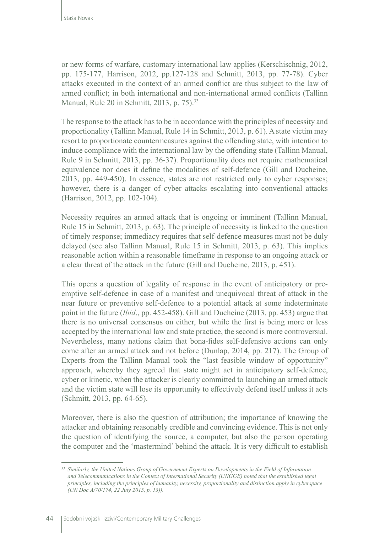or new forms of warfare, customary international law applies (Kerschischnig, 2012, pp. 175-177, Harrison, 2012, pp.127-128 and Schmitt, 2013, pp. 77-78). Cyber attacks executed in the context of an armed conflict are thus subject to the law of armed conflict; in both international and non-international armed conflicts (Tallinn Manual, Rule 20 in Schmitt, 2013, p. 75).<sup>33</sup>

The response to the attack has to be in accordance with the principles of necessity and proportionality (Tallinn Manual, Rule 14 in Schmitt, 2013, p. 61). A state victim may resort to proportionate countermeasures against the offending state, with intention to induce compliance with the international law by the offending state (Tallinn Manual, Rule 9 in Schmitt, 2013, pp. 36-37). Proportionality does not require mathematical equivalence nor does it define the modalities of self-defence (Gill and Ducheine, 2013, pp. 449-450). In essence, states are not restricted only to cyber responses; however, there is a danger of cyber attacks escalating into conventional attacks (Harrison, 2012, pp. 102-104).

Necessity requires an armed attack that is ongoing or imminent (Tallinn Manual, Rule 15 in Schmitt, 2013, p. 63). The principle of necessity is linked to the question of timely response; immediacy requires that self-defence measures must not be duly delayed (see also Tallinn Manual, Rule 15 in Schmitt, 2013, p. 63). This implies reasonable action within a reasonable timeframe in response to an ongoing attack or a clear threat of the attack in the future (Gill and Ducheine, 2013, p. 451).

This opens a question of legality of response in the event of anticipatory or preemptive self-defence in case of a manifest and unequivocal threat of attack in the near future or preventive self-defence to a potential attack at some indeterminate point in the future (*Ibid*., pp. 452-458). Gill and Ducheine (2013, pp. 453) argue that there is no universal consensus on either, but while the first is being more or less accepted by the international law and state practice, the second is more controversial. Nevertheless, many nations claim that bona-fides self-defensive actions can only come after an armed attack and not before (Dunlap, 2014, pp. 217). The Group of Experts from the Tallinn Manual took the "last feasible window of opportunity" approach, whereby they agreed that state might act in anticipatory self-defence, cyber or kinetic, when the attacker is clearly committed to launching an armed attack and the victim state will lose its opportunity to effectively defend itself unless it acts (Schmitt, 2013, pp. 64-65).

Moreover, there is also the question of attribution; the importance of knowing the attacker and obtaining reasonably credible and convincing evidence. This is not only the question of identifying the source, a computer, but also the person operating the computer and the 'mastermind' behind the attack. It is very difficult to establish

*<sup>33</sup> Similarly, the United Nations Group of Government Experts on Developments in the Field of Information and Telecommunications in the Context of International Security (UNGGE) noted that the established legal principles, including the principles of humanity, necessity, proportionality and distinction apply in cyberspace (UN Doc A/70/174, 22 July 2015, p. 13)).*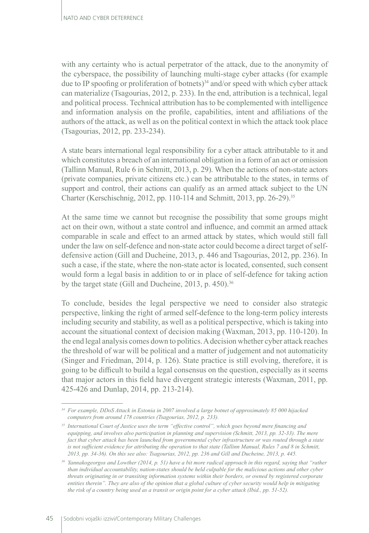with any certainty who is actual perpetrator of the attack, due to the anonymity of the cyberspace, the possibility of launching multi-stage cyber attacks (for example due to IP spoofing or proliferation of botnets)<sup>34</sup> and/or speed with which cyber attack can materialize (Tsagourias, 2012, p. 233). In the end, attribution is a technical, legal and political process. Technical attribution has to be complemented with intelligence and information analysis on the profile, capabilities, intent and affiliations of the authors of the attack, as well as on the political context in which the attack took place (Tsagourias, 2012, pp. 233-234).

A state bears international legal responsibility for a cyber attack attributable to it and which constitutes a breach of an international obligation in a form of an act or omission (Tallinn Manual, Rule 6 in Schmitt, 2013, p. 29). When the actions of non-state actors (private companies, private citizens etc.) can be attributable to the states, in terms of support and control, their actions can qualify as an armed attack subject to the UN Charter (Kerschischnig, 2012, pp. 110-114 and Schmitt, 2013, pp. 26-29).35

At the same time we cannot but recognise the possibility that some groups might act on their own, without a state control and influence, and commit an armed attack comparable in scale and effect to an armed attack by states, which would still fall under the law on self-defence and non-state actor could become a direct target of selfdefensive action (Gill and Ducheine, 2013, p. 446 and Tsagourias, 2012, pp. 236). In such a case, if the state, where the non-state actor is located, consented, such consent would form a legal basis in addition to or in place of self-defence for taking action by the target state (Gill and Ducheine, 2013, p. 450).<sup>36</sup>

To conclude, besides the legal perspective we need to consider also strategic perspective, linking the right of armed self-defence to the long-term policy interests including security and stability, as well as a political perspective, which is taking into account the situational context of decision making (Waxman, 2013, pp. 110-120). In the end legal analysis comes down to politics. A decision whether cyber attack reaches the threshold of war will be political and a matter of judgement and not automaticity (Singer and Friedman, 2014, p. 126). State practice is still evolving, therefore, it is going to be difficult to build a legal consensus on the question, especially as it seems that major actors in this field have divergent strategic interests (Waxman, 2011, pp. 425-426 and Dunlap, 2014, pp. 213-214).

*<sup>34</sup> For example, DDoS Attack in Estonia in 2007 involved a large botnet of approximately 85 000 hijacked computers from around 178 countries (Tsagourias, 2012, p. 233).*

*<sup>35</sup> International Court of Justice uses the term "effective control", which goes beyond mere financing and equipping, and involves also participation in planning and supervision (Schmitt, 2013, pp. 32-33). The mere fact that cyber attack has been launched from governmental cyber infrastructure or was routed through a state is not sufficient evidence for attributing the operation to that state (Tallinn Manual, Rules 7 and 8 in Schmitt, 2013, pp. 34-36). On this see also: Tsagourias, 2012, pp. 236 and Gill and Ducheine, 2013, p. 445.*

*<sup>36</sup> Yannakogeorgos and Lowther (2014, p. 51) have a bit more radical approach in this regard, saying that "rather than individual accountability, nation-states should be held culpable for the malicious actions and other cyber threats originating in or transiting information systems within their borders, or owned by registered corporate entities therein". They are also of the opinion that a global culture of cyber security would help in mitigating the risk of a country being used as a transit or origin point for a cyber attack (Ibid., pp. 51-52).*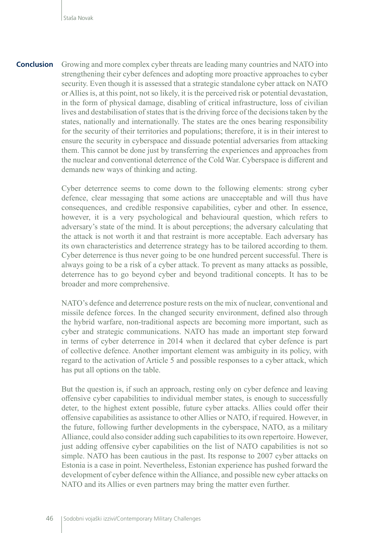Growing and more complex cyber threats are leading many countries and NATO into strengthening their cyber defences and adopting more proactive approaches to cyber security. Even though it is assessed that a strategic standalone cyber attack on NATO or Allies is, at this point, not so likely, it is the perceived risk or potential devastation, in the form of physical damage, disabling of critical infrastructure, loss of civilian lives and destabilisation of states that is the driving force of the decisions taken by the states, nationally and internationally. The states are the ones bearing responsibility for the security of their territories and populations; therefore, it is in their interest to ensure the security in cyberspace and dissuade potential adversaries from attacking them. This cannot be done just by transferring the experiences and approaches from the nuclear and conventional deterrence of the Cold War. Cyberspace is different and demands new ways of thinking and acting. **Conclusion**

> Cyber deterrence seems to come down to the following elements: strong cyber defence, clear messaging that some actions are unacceptable and will thus have consequences, and credible responsive capabilities, cyber and other. In essence, however, it is a very psychological and behavioural question, which refers to adversary's state of the mind. It is about perceptions; the adversary calculating that the attack is not worth it and that restraint is more acceptable. Each adversary has its own characteristics and deterrence strategy has to be tailored according to them. Cyber deterrence is thus never going to be one hundred percent successful. There is always going to be a risk of a cyber attack. To prevent as many attacks as possible, deterrence has to go beyond cyber and beyond traditional concepts. It has to be broader and more comprehensive.

> NATO's defence and deterrence posture rests on the mix of nuclear, conventional and missile defence forces. In the changed security environment, defined also through the hybrid warfare, non-traditional aspects are becoming more important, such as cyber and strategic communications. NATO has made an important step forward in terms of cyber deterrence in 2014 when it declared that cyber defence is part of collective defence. Another important element was ambiguity in its policy, with regard to the activation of Article 5 and possible responses to a cyber attack, which has put all options on the table.

> But the question is, if such an approach, resting only on cyber defence and leaving offensive cyber capabilities to individual member states, is enough to successfully deter, to the highest extent possible, future cyber attacks. Allies could offer their offensive capabilities as assistance to other Allies or NATO, if required. However, in the future, following further developments in the cyberspace, NATO, as a military Alliance, could also consider adding such capabilities to its own repertoire. However, just adding offensive cyber capabilities on the list of NATO capabilities is not so simple. NATO has been cautious in the past. Its response to 2007 cyber attacks on Estonia is a case in point. Nevertheless, Estonian experience has pushed forward the development of cyber defence within the Alliance, and possible new cyber attacks on NATO and its Allies or even partners may bring the matter even further.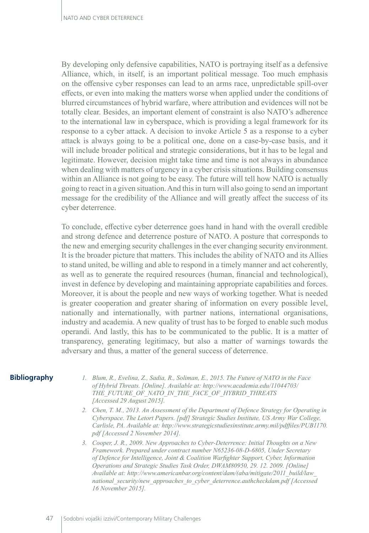By developing only defensive capabilities, NATO is portraying itself as a defensive Alliance, which, in itself, is an important political message. Too much emphasis on the offensive cyber responses can lead to an arms race, unpredictable spill-over effects, or even into making the matters worse when applied under the conditions of blurred circumstances of hybrid warfare, where attribution and evidences will not be totally clear. Besides, an important element of constraint is also NATO's adherence to the international law in cyberspace, which is providing a legal framework for its response to a cyber attack. A decision to invoke Article 5 as a response to a cyber attack is always going to be a political one, done on a case-by-case basis, and it will include broader political and strategic considerations, but it has to be legal and legitimate. However, decision might take time and time is not always in abundance when dealing with matters of urgency in a cyber crisis situations. Building consensus within an Alliance is not going to be easy. The future will tell how NATO is actually going to react in a given situation. And this in turn will also going to send an important message for the credibility of the Alliance and will greatly affect the success of its cyber deterrence.

To conclude, effective cyber deterrence goes hand in hand with the overall credible and strong defence and deterrence posture of NATO. A posture that corresponds to the new and emerging security challenges in the ever changing security environment. It is the broader picture that matters. This includes the ability of NATO and its Allies to stand united, be willing and able to respond in a timely manner and act coherently, as well as to generate the required resources (human, financial and technological), invest in defence by developing and maintaining appropriate capabilities and forces. Moreover, it is about the people and new ways of working together. What is needed is greater cooperation and greater sharing of information on every possible level, nationally and internationally, with partner nations, international organisations, industry and academia. A new quality of trust has to be forged to enable such modus operandi. And lastly, this has to be communicated to the public. It is a matter of transparency, generating legitimacy, but also a matter of warnings towards the adversary and thus, a matter of the general success of deterrence.

### **Bibliography**

- *1. Blum, R., Evelina, Z., Sadia, R., Soliman, E., 2015. The Future of NATO in the Face of Hybrid Threats. [Online]. Available at: http://www.academia.edu/11044703/ THE\_FUTURE\_OF\_NATO\_IN\_THE\_FACE\_OF\_HYBRID\_THREATS [Accessed 29 August 2015].*
- *2. Chen, T. M., 2013. An Assessment of the Department of Defence Strategy for Operating in Cyberspace. The Letort Papers. [pdf] Strategic Studies Institute, US Army War College, Carlisle, PA. Available at: http://www.strategicstudiesinstitute.army.mil/pdffiles/PUB1170. pdf [Accessed 2 November 2014].*
- *3. Cooper, J. R., 2009. New Approaches to Cyber-Deterrence: Initial Thoughts on a New Framework. Prepared under contract number N65236-08-D-6805, Under Secretary of Defence for Intelligence, Joint & Coalition Warfighter Support, Cyber, Information Operations and Strategic Studies Task Order, DWAM80950, 29. 12. 2009. [Online] Available at: http://www.americanbar.org/content/dam/(aba/mitigate/2011\_build/law\_ national\_security/new\_approaches\_to\_cyber\_deterrence.authcheckdam.pdf [Accessed 16 November 2015].*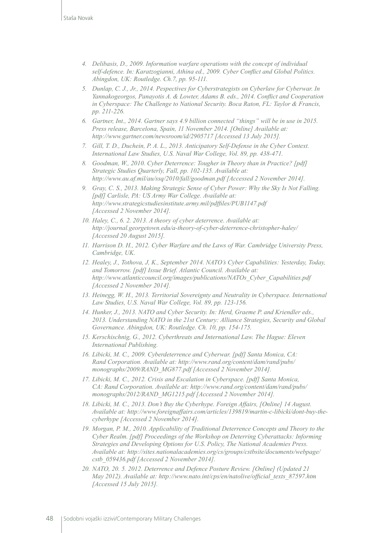- *4. Delibasis, D., 2009. Information warfare operations with the concept of individual self-defence. In: Karatzogianni, Athina ed., 2009. Cyber Conflict and Global Politics. Abingdon, UK: Routledge. Ch.7, pp. 95-111.*
- *5. Dunlap, C. J., Jr., 2014. Pespectives for Cyberstrategists on Cyberlaw for Cyberwar. In Yannakogeorgos, Panayotis A. & Lowter, Adams B. eds., 2014. Conflict and Cooperation in Cyberspace: The Challenge to National Security. Boca Raton, FL: Taylor & Francis, pp. 211-226.*
- *6. Gartner, Int., 2014. Gartner says 4.9 billion connected "things" will be in use in 2015. Press release, Barcelona, Spain, 11 November 2014. [Online] Available at: http://www.gartner.com/newsroom/id/2905717 [Accessed 13 July 2015].*
- *7. Gill, T. D., Duchein, P. A. L., 2013. Anticipatory Self-Defense in the Cyber Context. International Law Studies, U.S. Naval War College, Vol. 89, pp. 438-471.*
- *8. Goodman, W., 2010. Cyber Deterrence: Tougher in Theory than in Practice? [pdf] Strategic Studies Quarterly, Fall, pp. 102-135. Available at: http://www.au.af.mil/au/ssq/2010/fall/goodman.pdf [Accessed 2 November 2014].*
- *9. Gray, C. S., 2013. Making Strategic Sense of Cyber Power: Why the Sky Is Not Falling. [pdf] Carlisle, PA: US Army War College. Available at: http://www.strategicstudiesinstitute.army.mil/pdffiles/PUB1147.pdf [Accessed 2 November 2014].*
- *10. Haley, C., 6. 2. 2013. A theory of cyber deterrence. Available at: <http://journal.georgetown.edu/a-theory-of-cyber-deterrence-christopher-haley/> [Accessed 20 August 2015].*
- *11. Harrison D. H., 2012. Cyber Warfare and the Laws of War. Cambridge University Press, Cambridge, UK.*
- *12. Healey, J., Tothova, J, K., September 2014. NATO's Cyber Capabilities: Yesterday, Today, and Tomorrow. [pdf] Issue Brief. Atlantic Council. Available at: http://www.atlanticcouncil.org/images/publications/NATOs\_Cyber\_Capabilities.pdf [Accessed 2 November 2014].*
- *13. Heinegg, W. H., 2013. Territorial Sovereignty and Neutrality in Cyberspace. International*  Law Studies, U.S. Naval War College, Vol. 89, pp. 123-156.
- *14. Hunker, J., 2013. NATO and Cyber Security. In: Herd, Graeme P. and Kriendler eds., 2013. Understanding NATO in the 21st Century: Alliance Strategies, Security and Global Governance. Abingdon, UK: Routledge. Ch. 10, pp. 154-175.*
- *15. Kerschischnig, G., 2012. Cyberthreats and International Law. The Hague: Eleven International Publishing.*
- *16. Libicki, M. C., 2009. Cyberdeterrence and Cyberwar. [pdf] Santa Monica, CA: Rand Corporation. Available at: http://www.rand.org/content/dam/rand/pubs/ monographs/2009/RAND\_MG877.pdf [Accessed 2 November 2014].*
- *17. Libicki, M. C., 2012. Crisis and Escalation in Cyberspace. [pdf] Santa Monica, CA: Rand Corporation. Available at: http://www.rand.org/content/dam/rand/pubs/ monographs/2012/RAND\_MG1215.pdf [Accessed 2 November 2014].*
- *18. Libicki, M. C., 2013. Don't Buy the Cyberhype. Foreign Affairs, [Online] 14 August. Available at: http://www.foreignaffairs.com/articles/139819/martin-c-libicki/dont-buy-thecyberhype [Accessed 2 November 2014].*
- *19. Morgan, P. M., 2010. Applicability of Traditional Deterrence Concepts and Theory to the Cyber Realm. [pdf] Proceedings of the Workshop on Deterring Cyberattacks: Informing Strategies and Developing Options for U.S. Policy, The National Academies Press. Available at: http://sites.nationalacademies.org/cs/groups/cstbsite/documents/webpage/ cstb\_059436.pdf [Accessed 2 November 2014].*
- *20. NATO, 20. 5. 2012. Deterrence and Defence Posture Review. [Online] (Updated 21 May 2012). Available at: http://www.nato.int/cps/en/natolive/official\_texts\_87597.htm [Accessed 15 July 2015].*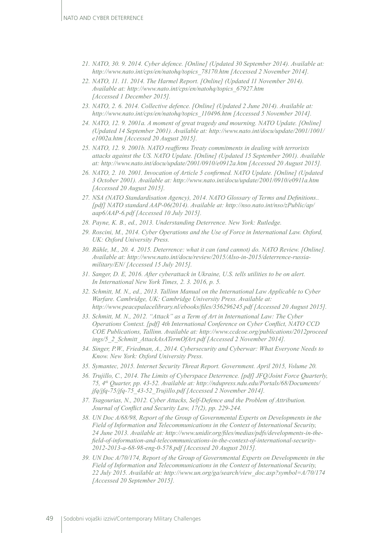- *21. NATO, 30. 9. 2014. Cyber defence. [Online] (Updated 30 September 2014). Available at: http://www.nato.int/cps/en/natohq/topics\_78170.htm [Accessed 2 November 2014].*
- *22. NATO, 11. 11. 2014. The Harmel Report. [Online] (Updated 11 November 2014). Available at: http://www.nato.int/cps/en/natohq/topics\_67927.htm [Accessed 1 December 2015].*
- *23. NATO, 2. 6. 2014. Collective defence. [Online] (Updated 2 June 2014). Available at: http://www.nato.int/cps/en/natohq/topics\_110496.htm [Accessed 5 November 2014].*
- *24. NATO, 12. 9. 2001a. A moment of great tragedy and mourning. NATO Update. [Online] (Updated 14 September 2001). Available at: http://www.nato.int/docu/update/2001/1001/ e1002a.htm [Accessed 20 August 2015].*
- *25. NATO, 12. 9. 2001b. NATO reaffirms Treaty commitments in dealing with terrorists attacks against the US. NATO Update. [Online] (Updated 15 September 2001). Available at: http://www.nato.int/docu/update/2001/0910/e0912a.htm [Accessed 20 August 2015].*
- *26. NATO, 2. 10. 2001. Invocation of Article 5 confirmed. NATO Update. [Online] (Updated 3 October 2001). Available at: http://www.nato.int/docu/update/2001/0910/e0911a.htm [Accessed 20 August 2015].*
- *27. NSA (NATO Standardisation Agency), 2014. NATO Glossary of Terms and Definitions.. [pdf] NATO standard AAP-06(2014). Available at: http://nso.nato.int/nso/zPublic/ap/ aap6/AAP-6.pdf [Accessed 10 July 2015].*
- *28. Payne, K. B., ed., 2013. Understanding Deterrence. New York: Rutledge.*
- *29. Roscini, M., 2014. Cyber Operations and the Use of Force in International Law. Oxford, UK: Oxford University Press.*
- *30. Rühle, M., 20. 4. 2015. Deterrence: what it can (and cannot) do. NATO Review. [Online]. Available at: http://www.nato.int/docu/review/2015/Also-in-2015/deterrence-russiamilitary/EN/ [Accessed 15 July 2015].*
- *31. Sanger, D. E, 2016. After cyberattack in Ukraine, U.S. tells utilities to be on alert. In International New York Times, 2. 3. 2016, p. 5.*
- *32. Schmitt, M. N., ed., 2013. Tallinn Manual on the International Law Applicable to Cyber Warfare. Cambridge, UK: Cambridge University Press. Available at: <http://www.peacepalacelibrary.nl/ebooks/files/356296245.pdf> [Accessed 20 August 2015].*
- *33. Schmitt, M. N., 2012. "Attack" as a Term of Art in International Law: The Cyber Operations Context. [pdf] 4th International Conference on Cyber Conflict, NATO CCD COE Publications, Tallinn. Available at: http://www.ccdcoe.org/publications/2012proceed ings/5\_2\_Schmitt\_AttackAsATermOfArt.pdf [Accessed 2 November 2014].*
- *34. Singer, P.W., Friedman, A., 2014. Cybersecurity and Cyberwar: What Everyone Needs to Know. New York: Oxford University Press.*
- *35. Symantec, 2015. Internet Security Threat Report. Government. April 2015, Volume 20.*
- *36. Trujillo, C., 2014. The Limits of Cyberspace Deterrence. [pdf] JFQ/Joint Force Quarterly, 75, 4th Quarter, pp. 43-52. Available at: http://ndupress.ndu.edu/Portals/68/Documents/ jfq/jfq-75/jfq-75\_43-52\_Trujillo.pdf [Accessed 2 November 2014].*
- *37. Tsagourias, N., 2012. Cyber Attacks, Self-Defence and the Problem of Attribution. Journal of Conflict and Security Law, 17(2), pp. 229-244.*
- *38. UN Doc A/68/98, Report of the Group of Governmental Experts on Developments in the Field of Information and Telecommunications in the Context of International Security, 24 June 2013. Available at: [http://www.unidir.org/files/medias/pdfs/developments-in-the](http://www.unidir.org/files/medias/pdfs/developments-in-the-field-of-information-and-telecommunications-in-the-context-of-international-security-2012-2013-a-68-98-eng-0-578.pdf)[field-of-information-and-telecommunications-in-the-context-of-international-security-](http://www.unidir.org/files/medias/pdfs/developments-in-the-field-of-information-and-telecommunications-in-the-context-of-international-security-2012-2013-a-68-98-eng-0-578.pdf)[2012-2013-a-68-98-eng-0-578.pdf](http://www.unidir.org/files/medias/pdfs/developments-in-the-field-of-information-and-telecommunications-in-the-context-of-international-security-2012-2013-a-68-98-eng-0-578.pdf) [Accessed 20 August 2015].*
- *39. UN Doc A/70/174, Report of the Group of Governmental Experts on Developments in the Field of Information and Telecommunications in the Context of International Security, 22 July 2015. Available at: [http://www.un.org/ga/search/view\\_doc.asp?symbol=A/70/174](http://www.un.org/ga/search/view_doc.asp?symbol=A/70/174)  [Accessed 20 September 2015].*